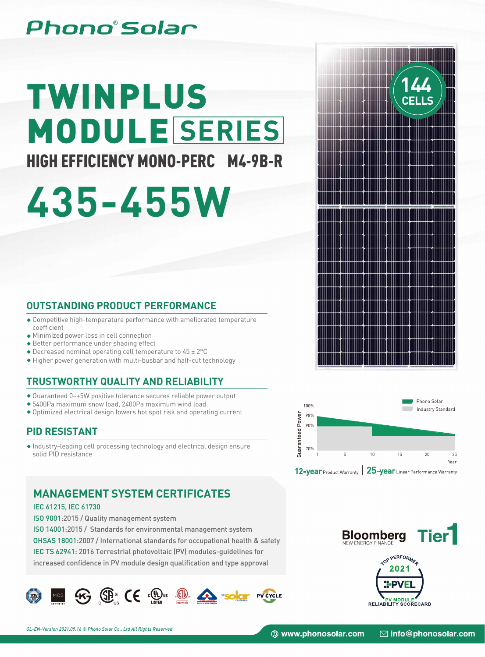# Phono°Solar

# TWINPLUS MODULE **SERIES**

# HIGH EFFICIENCY MONO-PERC M4-9B-R

# **435-455W**

### **OUTSTANDING PRODUCT PERFORMANCE**

- Competitive high-temperature performance with ameliorated temperature coefficient
- Minimized power loss in cell connection
- Better performance under shading effect
- Decreased nominal operating cell temperature to 45 ± 2°C
- Higher power generation with multi-busbar and half-cut technology

## **TRUSTWORTHY QUALITY AND RELIABILITY**

- Guaranteed 0~+5W positive tolerance secures reliable power output
- 5400Pa maximum snow load, 2400Pa maximum wind load
- Optimized electrical design lowers hot spot risk and operating current

## **PID RESISTANT**

Industry-leading cell processing technology and electrical design ensure solid PID resistance

## **MANAGEMENT SYSTEM CERTIFICATES**

#### IEC 61215, IEC 61730

ISO 9001:2015 / Quality management system

ISO 14001:2015 / Standards for environmental management system

OHSAS 18001:2007 / International standards for occupational health & safety

IEC TS 62941: 2016 Terrestrial photovoltaic (PV) modules-guidelines for

increased confidence in PV module design qualification and type approval









PV MODULE